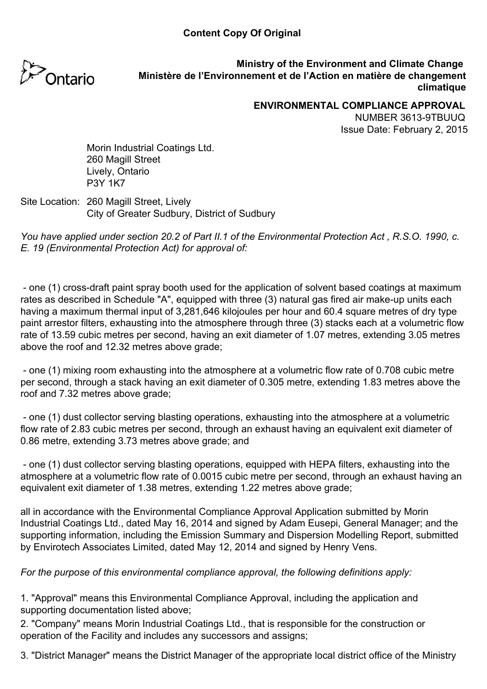

**Ministry of the Environment and Climate Change Ministère de l'Environnement et de l'Action en matière de changement climatique**

**ENVIRONMENTAL COMPLIANCE APPROVAL**

NUMBER 3613-9TBUUQ Issue Date: February 2, 2015

Morin Industrial Coatings Ltd. 260 Magill Street Lively, Ontario P3Y 1K7

#### Site Location: 260 Magill Street, Lively City of Greater Sudbury, District of Sudbury

*You have applied under section 20.2 of Part II.1 of the Environmental Protection Act , R.S.O. 1990, c. E. 19 (Environmental Protection Act) for approval of:*

 - one (1) cross-draft paint spray booth used for the application of solvent based coatings at maximum rates as described in Schedule "A", equipped with three (3) natural gas fired air make-up units each having a maximum thermal input of 3,281,646 kilojoules per hour and 60.4 square metres of dry type paint arrestor filters, exhausting into the atmosphere through three (3) stacks each at a volumetric flow rate of 13.59 cubic metres per second, having an exit diameter of 1.07 metres, extending 3.05 metres above the roof and 12.32 metres above grade;

 - one (1) mixing room exhausting into the atmosphere at a volumetric flow rate of 0.708 cubic metre per second, through a stack having an exit diameter of 0.305 metre, extending 1.83 metres above the roof and 7.32 metres above grade;

 - one (1) dust collector serving blasting operations, exhausting into the atmosphere at a volumetric flow rate of 2.83 cubic metres per second, through an exhaust having an equivalent exit diameter of 0.86 metre, extending 3.73 metres above grade; and

 - one (1) dust collector serving blasting operations, equipped with HEPA filters, exhausting into the atmosphere at a volumetric flow rate of 0.0015 cubic metre per second, through an exhaust having an equivalent exit diameter of 1.38 metres, extending 1.22 metres above grade;

all in accordance with the Environmental Compliance Approval Application submitted by Morin Industrial Coatings Ltd., dated May 16, 2014 and signed by Adam Eusepi, General Manager; and the supporting information, including the Emission Summary and Dispersion Modelling Report, submitted by Envirotech Associates Limited, dated May 12, 2014 and signed by Henry Vens.

## *For the purpose of this environmental compliance approval, the following definitions apply:*

1. "Approval" means this Environmental Compliance Approval, including the application and supporting documentation listed above;

2. "Company" means Morin Industrial Coatings Ltd., that is responsible for the construction or operation of the Facility and includes any successors and assigns;

3. "District Manager" means the District Manager of the appropriate local district office of the Ministry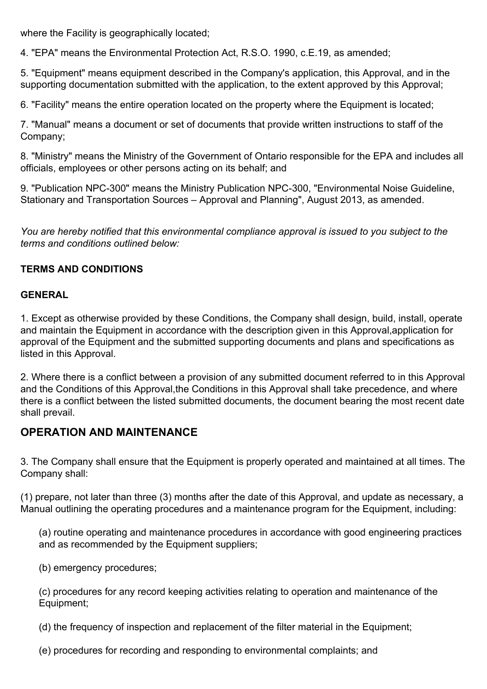where the Facility is geographically located;

4. "EPA" means the Environmental Protection Act, R.S.O. 1990, c.E.19, as amended;

5. "Equipment" means equipment described in the Company's application, this Approval, and in the supporting documentation submitted with the application, to the extent approved by this Approval;

6. "Facility" means the entire operation located on the property where the Equipment is located;

7. "Manual" means a document or set of documents that provide written instructions to staff of the Company;

8. "Ministry" means the Ministry of the Government of Ontario responsible for the EPA and includes all officials, employees or other persons acting on its behalf; and

9. "Publication NPC-300" means the Ministry Publication NPC-300, "Environmental Noise Guideline, Stationary and Transportation Sources – Approval and Planning", August 2013, as amended.

*You are hereby notified that this environmental compliance approval is issued to you subject to the terms and conditions outlined below:*

#### **TERMS AND CONDITIONS**

#### **GENERAL**

1. Except as otherwise provided by these Conditions, the Company shall design, build, install, operate and maintain the Equipment in accordance with the description given in this Approval,application for approval of the Equipment and the submitted supporting documents and plans and specifications as listed in this Approval.

2. Where there is a conflict between a provision of any submitted document referred to in this Approval and the Conditions of this Approval,the Conditions in this Approval shall take precedence, and where there is a conflict between the listed submitted documents, the document bearing the most recent date shall prevail.

## **OPERATION AND MAINTENANCE**

3. The Company shall ensure that the Equipment is properly operated and maintained at all times. The Company shall:

(1) prepare, not later than three (3) months after the date of this Approval, and update as necessary, a Manual outlining the operating procedures and a maintenance program for the Equipment, including:

(a) routine operating and maintenance procedures in accordance with good engineering practices and as recommended by the Equipment suppliers;

(b) emergency procedures;

(c) procedures for any record keeping activities relating to operation and maintenance of the Equipment;

(d) the frequency of inspection and replacement of the filter material in the Equipment;

(e) procedures for recording and responding to environmental complaints; and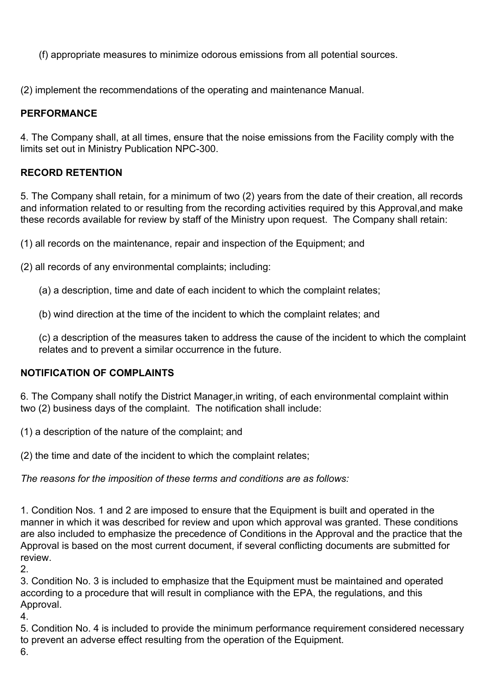(f) appropriate measures to minimize odorous emissions from all potential sources.

(2) implement the recommendations of the operating and maintenance Manual.

# **PERFORMANCE**

4. The Company shall, at all times, ensure that the noise emissions from the Facility comply with the limits set out in Ministry Publication NPC-300.

# **RECORD RETENTION**

5. The Company shall retain, for a minimum of two (2) years from the date of their creation, all records and information related to or resulting from the recording activities required by this Approval,and make these records available for review by staff of the Ministry upon request. The Company shall retain:

(1) all records on the maintenance, repair and inspection of the Equipment; and

(2) all records of any environmental complaints; including:

(a) a description, time and date of each incident to which the complaint relates;

(b) wind direction at the time of the incident to which the complaint relates; and

(c) a description of the measures taken to address the cause of the incident to which the complaint relates and to prevent a similar occurrence in the future.

## **NOTIFICATION OF COMPLAINTS**

6. The Company shall notify the District Manager,in writing, of each environmental complaint within two (2) business days of the complaint. The notification shall include:

(1) a description of the nature of the complaint; and

(2) the time and date of the incident to which the complaint relates;

*The reasons for the imposition of these terms and conditions are as follows:*

1. Condition Nos. 1 and 2 are imposed to ensure that the Equipment is built and operated in the manner in which it was described for review and upon which approval was granted. These conditions are also included to emphasize the precedence of Conditions in the Approval and the practice that the Approval is based on the most current document, if several conflicting documents are submitted for review.

2.

3. Condition No. 3 is included to emphasize that the Equipment must be maintained and operated according to a procedure that will result in compliance with the EPA, the regulations, and this Approval.

4.

5. Condition No. 4 is included to provide the minimum performance requirement considered necessary to prevent an adverse effect resulting from the operation of the Equipment.

6.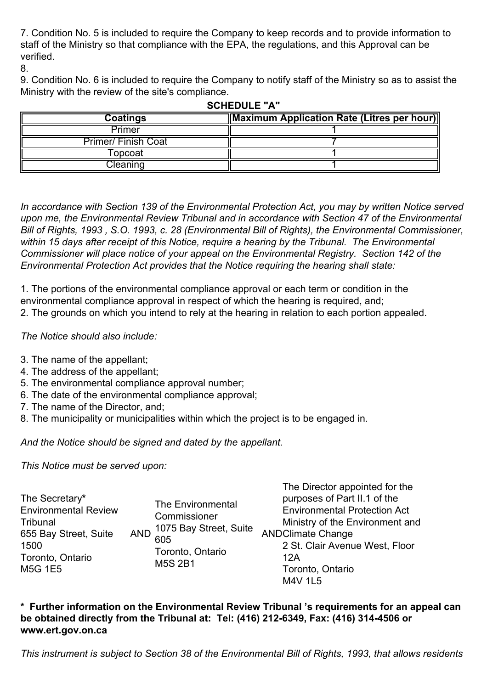7. Condition No. 5 is included to require the Company to keep records and to provide information to staff of the Ministry so that compliance with the EPA, the regulations, and this Approval can be verified.

8.

9. Condition No. 6 is included to require the Company to notify staff of the Ministry so as to assist the Ministry with the review of the site's compliance.

| Coatings                  | Maximum Application Rate (Litres per hour) |  |  |
|---------------------------|--------------------------------------------|--|--|
| Primer                    |                                            |  |  |
| <b>Primer/Finish Coat</b> |                                            |  |  |
| Горсоаt                   |                                            |  |  |
| Cleaning                  |                                            |  |  |

**SCHEDULE "A"**

*In accordance with Section 139 of the Environmental Protection Act, you may by written Notice served upon me, the Environmental Review Tribunal and in accordance with Section 47 of the Environmental Bill of Rights, 1993 , S.O. 1993, c. 28 (Environmental Bill of Rights), the Environmental Commissioner, within 15 days after receipt of this Notice, require a hearing by the Tribunal. The Environmental Commissioner will place notice of your appeal on the Environmental Registry. Section 142 of the Environmental Protection Act provides that the Notice requiring the hearing shall state:*

1. The portions of the environmental compliance approval or each term or condition in the environmental compliance approval in respect of which the hearing is required, and; 2. The grounds on which you intend to rely at the hearing in relation to each portion appealed.

*The Notice should also include:*

- 3. The name of the appellant;
- 4. The address of the appellant;
- 5. The environmental compliance approval number;
- 6. The date of the environmental compliance approval;
- 7. The name of the Director, and;
- 8. The municipality or municipalities within which the project is to be engaged in.

*And the Notice should be signed and dated by the appellant.*

*This Notice must be served upon:*

| The Secretary*<br><b>Environmental Review</b><br>Tribunal<br>655 Bay Street, Suite<br>1500<br>Toronto, Ontario<br><b>M5G 1E5</b> | <b>AND</b> | The Environmental<br>Commissioner<br>1075 Bay Street, Suite<br>605<br>Toronto, Ontario<br><b>M5S 2B1</b> | The Director appointed for the<br>purposes of Part II.1 of the<br><b>Environmental Protection Act</b><br>Ministry of the Environment and<br><b>ANDClimate Change</b><br>2 St. Clair Avenue West, Floor<br>12A<br>Toronto, Ontario<br><b>M4V 1L5</b> |
|----------------------------------------------------------------------------------------------------------------------------------|------------|----------------------------------------------------------------------------------------------------------|-----------------------------------------------------------------------------------------------------------------------------------------------------------------------------------------------------------------------------------------------------|
|----------------------------------------------------------------------------------------------------------------------------------|------------|----------------------------------------------------------------------------------------------------------|-----------------------------------------------------------------------------------------------------------------------------------------------------------------------------------------------------------------------------------------------------|

**\* Further information on the Environmental Review Tribunal 's requirements for an appeal can be obtained directly from the Tribunal at: Tel: (416) 212-6349, Fax: (416) 314-4506 or www.ert.gov.on.ca**

*This instrument is subject to Section 38 of the Environmental Bill of Rights, 1993, that allows residents*